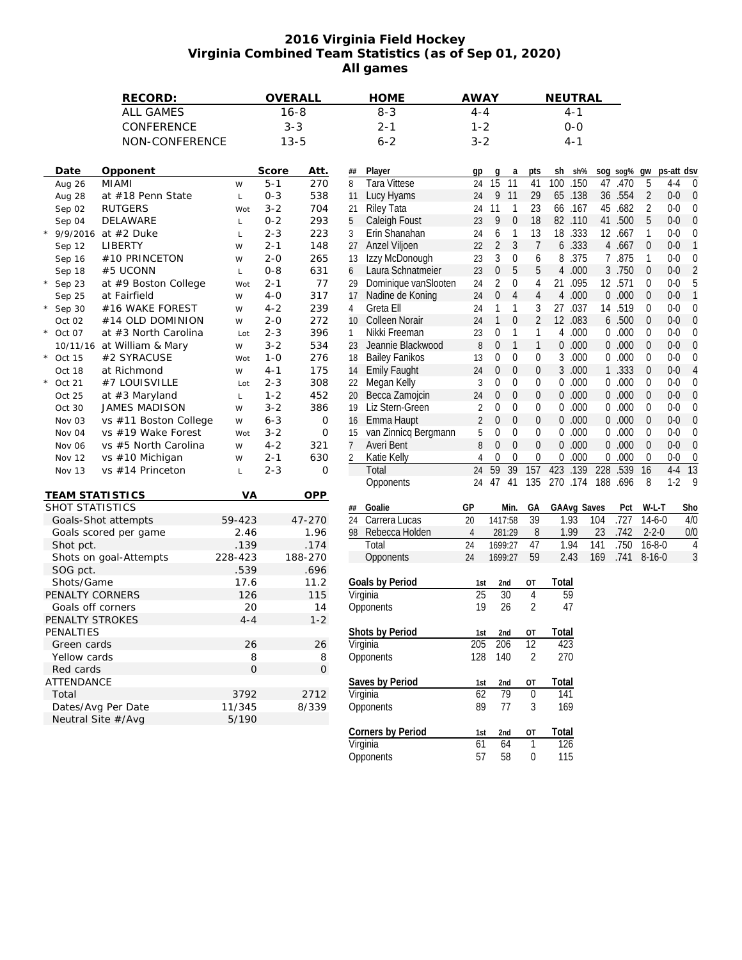## **2016 Virginia Field Hockey Virginia Combined Team Statistics (as of Sep 01, 2020) All games**

| RECORD:<br><b>ALL GAMES</b><br>CONFERENCE |                        |                            |                     | OVERALL     | <b>HOME</b><br><b>AWAY</b><br>NEUTRAL |                 |                       |                |                        |                    |                  |              |             |     |          |                |                  |         |
|-------------------------------------------|------------------------|----------------------------|---------------------|-------------|---------------------------------------|-----------------|-----------------------|----------------|------------------------|--------------------|------------------|--------------|-------------|-----|----------|----------------|------------------|---------|
|                                           |                        |                            | $16 - 8$<br>$3 - 3$ |             |                                       | $8 - 3$         | $4 - 4$<br>$1 - 2$    |                |                        | $4 - 1$<br>$0 - 0$ |                  |              |             |     |          |                |                  |         |
|                                           |                        |                            |                     |             |                                       | $2 - 1$         |                       |                |                        |                    |                  |              |             |     |          |                |                  |         |
|                                           |                        | NON-CONFERENCE             |                     |             | $13 - 5$                              |                 | $6 - 2$               | $3 - 2$        |                        |                    |                  |              | 4-1         |     |          |                |                  |         |
|                                           |                        |                            |                     |             |                                       |                 |                       |                |                        |                    |                  |              |             |     |          |                |                  |         |
|                                           | Date                   | Opponent                   |                     | Score       | Att.                                  | ##              | Player                | gp             | g                      | a                  | pts              | sh           | sh%         |     | sog sog% | gw             | ps-att dsv       |         |
|                                           | Aug 26                 | <b>MIAMI</b>               | W                   | $5 - 1$     | 270                                   | 8               | <b>Tara Vittese</b>   | 24             | $\overline{15}$<br>11  |                    | 41               | 100          | .150        | 47  | .470     | 5              | $4 - 4$          | 0       |
|                                           | Aug 28                 | at #18 Penn State          | L                   | $0 - 3$     | 538                                   | 11              | Lucy Hyams            | 24             | 9 11                   |                    | 29               |              | 65 .138     |     | 36 .554  | $\overline{2}$ | $0-0$            | 0       |
|                                           | Sep 02                 | <b>RUTGERS</b>             | Wot                 | $3 - 2$     | 704                                   | 21              | Riley Tata            | 24             | 11                     | $\mathbf{1}$       | 23               | 66           | .167        |     | 45 .682  | 2              | $0 - 0$          | 0       |
|                                           | Sep 04                 | DELAWARE                   | L                   | $0 - 2$     | 293                                   | 5               | Caleigh Foust         | 23             | 9                      | $\boldsymbol{0}$   | 18               |              | 82 .110     |     | 41 .500  | 5              | $0 - 0$          | 0       |
|                                           | * $9/9/2016$           | at #2 Duke                 | L                   | $2 - 3$     | 223                                   | 3               | Erin Shanahan         | 24             | 6                      | 1                  | 13               | 18           | .333        |     | 12 .667  | 1              | $0-0$            |         |
|                                           | Sep 12                 | LIBERTY                    | W                   | $2 - 1$     | 148                                   | 27              | Anzel Viljoen         | 22             | $\overline{2}$         | 3                  | $7\overline{ }$  | 6            | .333        |     | 4 .667   | $\mathbf{0}$   | $0 - 0$          |         |
|                                           | Sep 16                 | #10 PRINCETON              | W                   | $2 - 0$     | 265                                   | 13              | Izzy McDonough        | 23             | 3                      | 0                  | 6                | 8            | .375        |     | 7 .875   | 1              | $0 - 0$          | 0       |
|                                           | Sep 18                 | #5 UCONN                   | L                   | $0 - 8$     | 631                                   | 6               | Laura Schnatmeier     | 23             | $\overline{0}$         | 5                  | 5                | 4            | .000        |     | 3 .750   | $\theta$       | $0 - 0$          |         |
| $^\star$                                  | Sep 23                 | at #9 Boston College       | Wot                 | $2 - 1$     | 77                                    | 29              | Dominique vanSlooten  | 24             | 2                      | $\mathbf{0}$       | 4                | 21           | .095        |     | 12 .571  | $\mathbf{0}$   | $0 - 0$          |         |
|                                           | Sep 25                 | at Fairfield               | W                   | $4 - 0$     | 317                                   | 17              | Nadine de Koning      | 24             | 0                      | $\overline{4}$     | $\overline{4}$   | 4            | .000        |     | 0.000    | $\mathbf{0}$   | $0 - 0$          |         |
|                                           | $*$ Sep 30             | #16 WAKE FOREST            | W                   | $4 - 2$     | 239                                   | 4               | Greta Ell             | 24             | 1                      | $\mathbf{1}$       | 3                | 27           | .037        |     | 14 .519  | $\mathbf{0}$   | $0 - 0$          | 0       |
|                                           | Oct 02                 | #14 OLD DOMINION           | W                   | $2 - 0$     | 272                                   | 10              | Colleen Norair        | 24             | $\mathbf{1}$           | $\mathbf 0$        | 2                | 12           | .083        |     | 6 .500   | $\mathbf 0$    | $0 - 0$          | 0       |
| $^{\star}$                                | Oct 07                 | at #3 North Carolina       | Lot                 | $2 - 3$     | 396                                   | 1               | Nikki Freeman         | 23             | 0                      | $\mathbf{1}$       | $\mathbf{1}$     | 4            | .000        |     | 0.000    | $\mathbf{0}$   | $0-0$            |         |
|                                           |                        | 10/11/16 at William & Mary | W                   | $3 - 2$     | 534                                   |                 | 23 Jeannie Blackwood  | 8              | 0                      | $\mathbf{1}$       | $\mathbf{1}$     | 0            | .000        |     | 0.000    | $\mathbf{0}$   | $0 - 0$          |         |
|                                           | $*$ Oct 15             | #2 SYRACUSE                | Wot                 | $1 - 0$     | 276                                   | 18              | <b>Bailey Fanikos</b> | 13             | 0                      | $\mathbf 0$        | 0                | 3            | .000        |     | 0.000    | $\mathbf{0}$   | $0-0$            |         |
|                                           | Oct 18                 | at Richmond                | W                   | 4-1         | 175                                   | 14              | <b>Emily Faught</b>   | 24             | 0                      | $\mathbf{0}$       | 0                | 3            | .000        |     | 1 .333   | $\mathbf 0$    | $0 - 0$          |         |
| $\star$                                   | Oct 21                 | #7 LOUISVILLE              | Lot                 | $2 - 3$     | 308                                   | 22              | Megan Kelly           | 3              | 0                      | $\mathbf 0$        | $\mathbf 0$      | 0            | .000        |     | 0.000    | $\mathbf{0}$   | $0 - 0$          |         |
|                                           |                        | at #3 Maryland             |                     | $1 - 2$     | 452                                   | 20              | Becca Zamojcin        | 24             | 0                      | $\boldsymbol{0}$   | $\boldsymbol{0}$ | 0            | .000        |     | 0.000    | $\mathbf 0$    | $0 - 0$          | 0       |
|                                           | Oct 25<br>Oct 30       | JAMES MADISON              | L                   | $3 - 2$     | 386                                   |                 | Liz Stern-Green       | 2              | 0                      | 0                  | 0                | 0            | .000        |     | 0.000    | $\mathbf{0}$   | $0-0$            |         |
|                                           |                        |                            | W                   |             |                                       | 19              |                       | $\overline{2}$ | 0                      | $\mathbf{0}$       | $\boldsymbol{0}$ | 0            | .000        |     | 0.000    | $\mathbf{0}$   | $0-0$            | 0       |
|                                           | Nov 03                 | vs #11 Boston College      | W                   | $6 - 3$     | $\mathsf{O}$                          | 16              | Emma Haupt            |                | 0                      | $\mathbf 0$        | 0                | 0            | .000        |     | 0.000    | $\mathbf{0}$   | $0 - 0$          |         |
|                                           | Nov 04                 | vs #19 Wake Forest         | Wot                 | $3 - 2$     | $\mathbf 0$                           | 15              | van Zinnicq Bergmann  | 5<br>8         | $\overline{0}$         | $\mathbf{0}$       | $\mathbf{0}$     | 0            |             |     | 0.000    | $\mathbf{0}$   |                  | 0       |
|                                           | Nov 06                 | vs #5 North Carolina       | W                   | $4 - 2$     | 321                                   | 7               | Averi Bent            |                |                        |                    |                  |              | .000        |     |          |                | $0 - 0$          | 0       |
|                                           | Nov 12                 | vs #10 Michigan            | W                   | $2 - 1$     | 630                                   | 2               | Katie Kelly           | 4              | 0<br>59<br>39          | $\mathbf 0$        | 0                | 0            | .000        | 0   | .000     | 0              | $0-0$            | 0       |
|                                           | Nov 13                 | vs #14 Princeton           | $\mathsf L$         | $2 - 3$     | 0                                     |                 | Total                 | 24             |                        | 157                |                  | 423          | .139        | 228 | .539     | 16             | $4 - 4$<br>$1-2$ | 13<br>g |
|                                           | <b>TEAM STATISTICS</b> |                            | VA                  |             | OPP                                   |                 | Opponents             | 24             | 47<br>41               | 135                |                  |              | 270 .174    |     | 188 .696 | 8              |                  |         |
|                                           | SHOT STATISTICS        |                            |                     |             |                                       | ##              | Goalie                | GP             | Min.                   |                    | GА               |              | GAAvg Saves |     | Pct      | W-L-T          |                  | Sho     |
|                                           |                        | Goals-Shot attempts        | 59-423              |             | 47-270                                | 24              | Carrera Lucas         | 20             | 1417:58                |                    | $\overline{39}$  | 1.93         |             | 104 | .727     | $14-6-0$       |                  | 4/0     |
| Goals scored per game                     |                        |                            | 2.46                |             | 1.96                                  |                 | 98 Rebecca Holden     | $\overline{4}$ | 281:29                 |                    | 8                | 1.99         |             | 23  | .742     | $2 - 2 - 0$    |                  | 0/0     |
|                                           | Shot pct.              |                            | .139                |             | .174                                  |                 | Total                 | 24             | 1699:27                |                    | 47               | 1.94         |             | 141 | .750     | $16 - 8 - 0$   |                  | 4       |
| Shots on goal-Attempts                    |                        |                            | 228-423             |             | 188-270                               |                 | Opponents             | 24             | 1699:27                |                    | 59               | 2.43         |             | 169 | .741     | $8 - 16 - 0$   |                  | 3       |
|                                           | SOG pct.               |                            | .539                |             | .696                                  |                 |                       |                |                        |                    |                  |              |             |     |          |                |                  |         |
|                                           | Shots/Game             |                            | 17.6                |             | 11.2                                  |                 | Goals by Period       | 1st            | 2nd                    | OT                 |                  | Total        |             |     |          |                |                  |         |
|                                           | PENALTY CORNERS        |                            | 126                 |             | 115                                   |                 | Virginia              | 25             | 30                     | $\overline{4}$     |                  | 59           |             |     |          |                |                  |         |
|                                           | Goals off corners      |                            | 20                  |             | 14                                    |                 | Opponents             | 19             | 26                     |                    | 2                | 47           |             |     |          |                |                  |         |
|                                           | PENALTY STROKES        |                            | $4 - 4$             |             | $1 - 2$                               |                 |                       |                |                        |                    |                  |              |             |     |          |                |                  |         |
|                                           | PENALTIES              |                            |                     |             |                                       |                 | Shots by Period       | 1st            | 2nd                    | OT                 |                  | Total        |             |     |          |                |                  |         |
| Green cards                               |                        | 26                         |                     | 26          |                                       |                 | 205                   | 206            | 12                     |                    | 423              |              |             |     |          |                |                  |         |
| Yellow cards                              |                        | 8                          |                     | 8           | Virginia<br>Opponents                 |                 | 128                   | 140            |                        | $\overline{2}$     | 270              |              |             |     |          |                |                  |         |
| Red cards                                 |                        | $\mathsf{O}\xspace$        |                     | $\mathsf O$ |                                       |                 |                       |                |                        |                    |                  |              |             |     |          |                |                  |         |
|                                           |                        |                            |                     |             |                                       | Saves by Period |                       |                |                        |                    |                  |              |             |     |          |                |                  |         |
| ATTENDANCE                                |                        |                            |                     |             |                                       |                 | Virginia              | 1st<br>62      | 2nd<br>$\overline{79}$ | ОT<br>$\pmb{0}$    |                  | Total<br>141 |             |     |          |                |                  |         |
| Total<br>Dates/Avg Per Date               |                        |                            | 3792                |             | 2712                                  |                 |                       |                | 77                     |                    |                  |              |             |     |          |                |                  |         |
|                                           |                        |                            | 11/345<br>5/190     |             | 8/339                                 |                 | Opponents             | 89             |                        |                    | 3                | 169          |             |     |          |                |                  |         |
|                                           |                        | Neutral Site #/Avg         |                     |             |                                       |                 |                       |                |                        |                    |                  |              |             |     |          |                |                  |         |
|                                           |                        |                            |                     |             |                                       |                 | Corners by Period     | 1st            | 2nd                    | OT                 |                  | Total        |             |     |          |                |                  |         |
|                                           |                        |                            |                     |             |                                       |                 | Virginia              | 61             | 64                     | $\mathbf{1}$       |                  | 126          |             |     |          |                |                  |         |

Opponents 57 58 0 115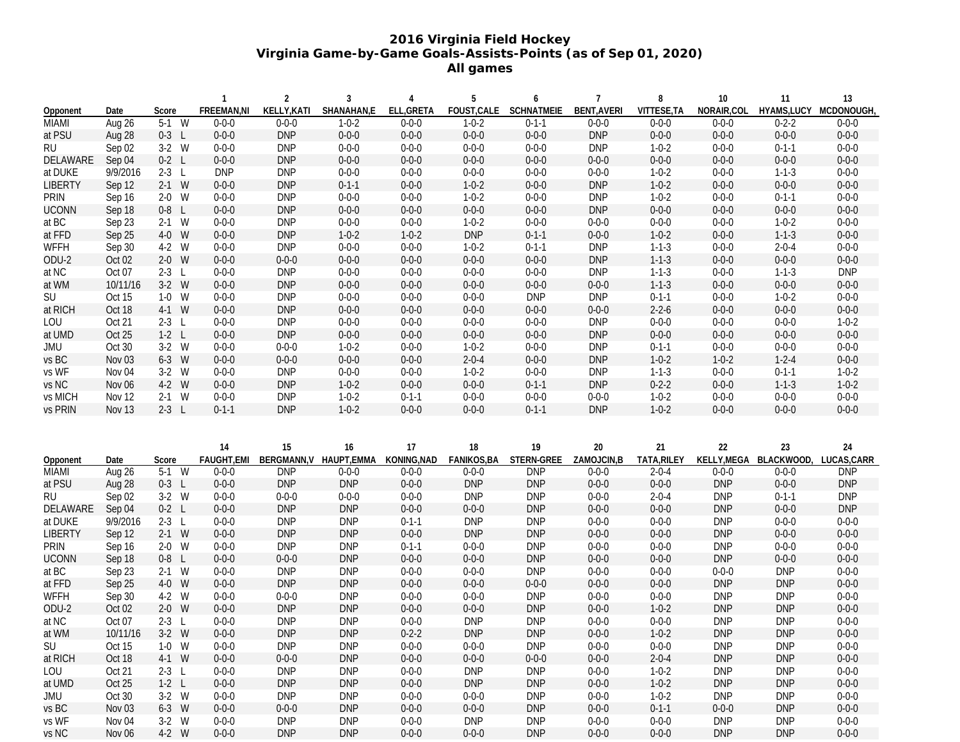## **2016 Virginia Field Hockey Virginia Game-by-Game Goals-Assists-Points (as of Sep 01, 2020) All games**

|                |                   |         | $\mathbf{1}$ | $\overline{2}$ | 3           | 4           | 5           | 6           | $\overline{7}$     | 8           | 10          | 11          | 13                     |
|----------------|-------------------|---------|--------------|----------------|-------------|-------------|-------------|-------------|--------------------|-------------|-------------|-------------|------------------------|
| Opponent       | Date              | Score   | FREEMAN, NI  | KELLY, KATI    | SHANAHAN,E  | ELL, GRETA  | FOUST, CALE | SCHNATMEIE  | <b>BENT, AVERI</b> | VITTESE, TA | NORAIR, COL |             | HYAMS, LUCY MCDONOUGH, |
| <b>MIAMI</b>   | Aug 26            | $5-1$ W | $0 - 0 - 0$  | $0 - 0 - 0$    | $1 - 0 - 2$ | $0 - 0 - 0$ | $1 - 0 - 2$ | $0 - 1 - 1$ | $0 - 0 - 0$        | $0 - 0 - 0$ | $0 - 0 - 0$ | $0 - 2 - 2$ | $0 - 0 - 0$            |
| at PSU         | Aug 28            | $0-3$ L | $0 - 0 - 0$  | <b>DNP</b>     | $0 - 0 - 0$ | $0 - 0 - 0$ | $0 - 0 - 0$ | $0 - 0 - 0$ | <b>DNP</b>         | $0 - 0 - 0$ | $0 - 0 - 0$ | $0 - 0 - 0$ | $0 - 0 - 0$            |
| <b>RU</b>      | Sep 02            | $3-2$ W | $0 - 0 - 0$  | <b>DNP</b>     | $0 - 0 - 0$ | $0 - 0 - 0$ | $0 - 0 - 0$ | $0 - 0 - 0$ | <b>DNP</b>         | $1 - 0 - 2$ | $0 - 0 - 0$ | $0 - 1 - 1$ | $0 - 0 - 0$            |
| DELAWARE       | Sep 04            | $0-2$ L | $0 - 0 - 0$  | <b>DNP</b>     | $0 - 0 - 0$ | $0 - 0 - 0$ | $0 - 0 - 0$ | $0 - 0 - 0$ | $0 - 0 - 0$        | $0 - 0 - 0$ | $0 - 0 - 0$ | $0 - 0 - 0$ | $0 - 0 - 0$            |
| at DUKE        | 9/9/2016          | $2-3$ L | <b>DNP</b>   | <b>DNP</b>     | $0 - 0 - 0$ | $0 - 0 - 0$ | $0 - 0 - 0$ | $0 - 0 - 0$ | $0 - 0 - 0$        | $1 - 0 - 2$ | $0 - 0 - 0$ | $1 - 1 - 3$ | $0 - 0 - 0$            |
| <b>LIBERTY</b> | Sep 12            | $2-1$ W | $0 - 0 - 0$  | <b>DNP</b>     | $0 - 1 - 1$ | $0 - 0 - 0$ | $1 - 0 - 2$ | $0 - 0 - 0$ | <b>DNP</b>         | $1 - 0 - 2$ | $0 - 0 - 0$ | $0 - 0 - 0$ | $0 - 0 - 0$            |
| PRIN           | Sep 16            | $2-0$ W | $0 - 0 - 0$  | <b>DNP</b>     | $0 - 0 - 0$ | $0 - 0 - 0$ | $1 - 0 - 2$ | $0 - 0 - 0$ | <b>DNP</b>         | $1 - 0 - 2$ | $0 - 0 - 0$ | $0 - 1 - 1$ | $0 - 0 - 0$            |
| <b>UCONN</b>   | Sep 18            | $0-8$ L | $0 - 0 - 0$  | <b>DNP</b>     | $0 - 0 - 0$ | $0 - 0 - 0$ | $0 - 0 - 0$ | $0 - 0 - 0$ | <b>DNP</b>         | $0 - 0 - 0$ | $0 - 0 - 0$ | $0 - 0 - 0$ | $0 - 0 - 0$            |
| at BC          | Sep 23            | $2-1$ W | $0 - 0 - 0$  | <b>DNP</b>     | $0 - 0 - 0$ | $0 - 0 - 0$ | $1 - 0 - 2$ | $0 - 0 - 0$ | $0 - 0 - 0$        | $0 - 0 - 0$ | $0 - 0 - 0$ | $1 - 0 - 2$ | $0 - 0 - 0$            |
| at FFD         | Sep 25            | 4-0 W   | $0 - 0 - 0$  | <b>DNP</b>     | $1 - 0 - 2$ | $1 - 0 - 2$ | <b>DNP</b>  | $0 - 1 - 1$ | $0 - 0 - 0$        | $1 - 0 - 2$ | $0 - 0 - 0$ | $1 - 1 - 3$ | $0 - 0 - 0$            |
| WFFH           | Sep 30            | 4-2 W   | $0 - 0 - 0$  | <b>DNP</b>     | $0 - 0 - 0$ | $0 - 0 - 0$ | $1 - 0 - 2$ | $0 - 1 - 1$ | <b>DNP</b>         | $1 - 1 - 3$ | $0 - 0 - 0$ | $2 - 0 - 4$ | $0 - 0 - 0$            |
| ODU-2          | Oct 02            | $2-0$ W | $0 - 0 - 0$  | $0 - 0 - 0$    | $0 - 0 - 0$ | $0 - 0 - 0$ | $0 - 0 - 0$ | $0 - 0 - 0$ | <b>DNP</b>         | $1 - 1 - 3$ | $0 - 0 - 0$ | $0 - 0 - 0$ | $0 - 0 - 0$            |
| at NC          | Oct 07            | $2-3$ L | $0 - 0 - 0$  | <b>DNP</b>     | $0 - 0 - 0$ | $0 - 0 - 0$ | $0 - 0 - 0$ | $0 - 0 - 0$ | <b>DNP</b>         | $1 - 1 - 3$ | $0 - 0 - 0$ | $1 - 1 - 3$ | <b>DNP</b>             |
| at WM          | 10/11/16          | $3-2$ W | $0 - 0 - 0$  | <b>DNP</b>     | $0 - 0 - 0$ | $0 - 0 - 0$ | $0 - 0 - 0$ | $0 - 0 - 0$ | $0 - 0 - 0$        | $1 - 1 - 3$ | $0 - 0 - 0$ | $0 - 0 - 0$ | $0 - 0 - 0$            |
| SU             | Oct 15            | $1-0$ W | $0 - 0 - 0$  | <b>DNP</b>     | $0 - 0 - 0$ | $0 - 0 - 0$ | $0 - 0 - 0$ | <b>DNP</b>  | <b>DNP</b>         | $0 - 1 - 1$ | $0 - 0 - 0$ | $1 - 0 - 2$ | $0 - 0 - 0$            |
| at RICH        | Oct 18            | 4-1 W   | $0 - 0 - 0$  | <b>DNP</b>     | $0 - 0 - 0$ | $0 - 0 - 0$ | $0 - 0 - 0$ | $0 - 0 - 0$ | $0 - 0 - 0$        | $2 - 2 - 6$ | $0 - 0 - 0$ | $0 - 0 - 0$ | $0 - 0 - 0$            |
| LOU            | Oct 21            | $2-3$ L | $0 - 0 - 0$  | <b>DNP</b>     | $0 - 0 - 0$ | $0 - 0 - 0$ | $0 - 0 - 0$ | $0 - 0 - 0$ | <b>DNP</b>         | $0 - 0 - 0$ | $0 - 0 - 0$ | $0 - 0 - 0$ | $1 - 0 - 2$            |
| at UMD         | Oct 25            | $1-2$ L | $0 - 0 - 0$  | <b>DNP</b>     | $0 - 0 - 0$ | $0 - 0 - 0$ | $0 - 0 - 0$ | $0 - 0 - 0$ | <b>DNP</b>         | $0 - 0 - 0$ | $0 - 0 - 0$ | $0 - 0 - 0$ | $0 - 0 - 0$            |
| JMU            | Oct 30            | $3-2$ W | $0 - 0 - 0$  | $0 - 0 - 0$    | $1 - 0 - 2$ | $0 - 0 - 0$ | $1 - 0 - 2$ | $0 - 0 - 0$ | <b>DNP</b>         | $0 - 1 - 1$ | $0 - 0 - 0$ | $0 - 0 - 0$ | $0 - 0 - 0$            |
| vs BC          | Nov <sub>03</sub> | $6-3$ W | $0 - 0 - 0$  | $0 - 0 - 0$    | $0 - 0 - 0$ | $0 - 0 - 0$ | $2 - 0 - 4$ | $0 - 0 - 0$ | <b>DNP</b>         | $1 - 0 - 2$ | $1 - 0 - 2$ | $1 - 2 - 4$ | $0 - 0 - 0$            |
| vs WF          | Nov 04            | $3-2$ W | $0 - 0 - 0$  | <b>DNP</b>     | $0 - 0 - 0$ | $0 - 0 - 0$ | $1 - 0 - 2$ | $0 - 0 - 0$ | <b>DNP</b>         | $1 - 1 - 3$ | $0 - 0 - 0$ | $0 - 1 - 1$ | $1 - 0 - 2$            |
| vs NC          | Nov 06            | 4-2 W   | $0 - 0 - 0$  | <b>DNP</b>     | $1 - 0 - 2$ | $0 - 0 - 0$ | $0 - 0 - 0$ | $0 - 1 - 1$ | <b>DNP</b>         | $0 - 2 - 2$ | $0 - 0 - 0$ | $1 - 1 - 3$ | $1 - 0 - 2$            |
| vs MICH        | Nov 12            | $2-1$ W | $0 - 0 - 0$  | <b>DNP</b>     | $1 - 0 - 2$ | $0 - 1 - 1$ | $0 - 0 - 0$ | $0 - 0 - 0$ | $0 - 0 - 0$        | $1 - 0 - 2$ | $0 - 0 - 0$ | $0 - 0 - 0$ | $0 - 0 - 0$            |
| vs PRIN        | Nov 13            | $2-3$ L | $0 - 1 - 1$  | <b>DNP</b>     | $1 - 0 - 2$ | $0 - 0 - 0$ | $0 - 0 - 0$ | $0 - 1 - 1$ | <b>DNP</b>         | $1 - 0 - 2$ | $0 - 0 - 0$ | $0 - 0 - 0$ | $0 - 0 - 0$            |
|                |                   |         |              |                |             |             |             |             |                    |             |             |             |                        |
|                |                   |         |              |                |             |             |             |             |                    |             |             |             |                        |
|                |                   |         | 14           | 15             | 16          | 17          | 18          | 19          | 20                 | 21          | 22          | 23          | 24                     |
| Opponent       | Date              | Score   | FAUGHT, EMI  | BERGMANN, V    | HAUPT, EMMA | KONING, NAD | FANIKOS, BA | STERN-GREE  | ZAMOJCIN, B        | TATA, RILEY | KELLY, MEGA | BLACKWOOD,  | LUCAS, CARR            |
| <b>MIAMI</b>   | Aug 26            | $5-1$ W | $0 - 0 - 0$  | <b>DNP</b>     | $0 - 0 - 0$ | $0 - 0 - 0$ | $0 - 0 - 0$ | <b>DNP</b>  | $0 - 0 - 0$        | $2 - 0 - 4$ | $0 - 0 - 0$ | $0 - 0 - 0$ | <b>DNP</b>             |
| at PSU         | Aug 28            | $0-3$ L | $0 - 0 - 0$  | <b>DNP</b>     | <b>DNP</b>  | $0 - 0 - 0$ | <b>DNP</b>  | <b>DNP</b>  | $0 - 0 - 0$        | $0 - 0 - 0$ | <b>DNP</b>  | $0 - 0 - 0$ | <b>DNP</b>             |
| <b>RU</b>      | Sep 02            | $3-2$ W | $0 - 0 - 0$  | $0 - 0 - 0$    | $0 - 0 - 0$ | $0 - 0 - 0$ | <b>DNP</b>  | <b>DNP</b>  | $0 - 0 - 0$        | $2 - 0 - 4$ | <b>DNP</b>  | $0 - 1 - 1$ | <b>DNP</b>             |
| DELAWARE       | Sep 04            | $0-2$ L | $0 - 0 - 0$  | <b>DNP</b>     | <b>DNP</b>  | $0 - 0 - 0$ | $0 - 0 - 0$ | <b>DNP</b>  | $0 - 0 - 0$        | $0 - 0 - 0$ | <b>DNP</b>  | $0 - 0 - 0$ | <b>DNP</b>             |
| at DUKE        | 9/9/2016          | $2-3$ L | $0 - 0 - 0$  | <b>DNP</b>     | <b>DNP</b>  | $0 - 1 - 1$ | <b>DNP</b>  | <b>DNP</b>  | $0 - 0 - 0$        | $0 - 0 - 0$ | <b>DNP</b>  | $0 - 0 - 0$ | $0 - 0 - 0$            |
| <b>LIBERTY</b> | Sep 12            | $2-1$ W | $0 - 0 - 0$  | <b>DNP</b>     | <b>DNP</b>  | $0 - 0 - 0$ | <b>DNP</b>  | <b>DNP</b>  | $0 - 0 - 0$        | $0 - 0 - 0$ | <b>DNP</b>  | $0 - 0 - 0$ | $0 - 0 - 0$            |
| <b>PRIN</b>    | Sep 16            | $2-0$ W | $0 - 0 - 0$  | <b>DNP</b>     | <b>DNP</b>  | $0 - 1 - 1$ | $0 - 0 - 0$ | <b>DNP</b>  | $0 - 0 - 0$        | $0 - 0 - 0$ | <b>DNP</b>  | $0 - 0 - 0$ | $0 - 0 - 0$            |
| <b>UCONN</b>   | Sep 18            | $0-8$ L | $0 - 0 - 0$  | $0 - 0 - 0$    | <b>DNP</b>  | $0 - 0 - 0$ | $0 - 0 - 0$ | <b>DNP</b>  | $0 - 0 - 0$        | $0 - 0 - 0$ | <b>DNP</b>  | $0 - 0 - 0$ | $0 - 0 - 0$            |
| at BC          | Sep 23            | $2-1$ W | $0 - 0 - 0$  | <b>DNP</b>     | <b>DNP</b>  | $0 - 0 - 0$ | $0 - 0 - 0$ | <b>DNP</b>  | $0 - 0 - 0$        | $0 - 0 - 0$ | $0 - 0 - 0$ | <b>DNP</b>  | $0 - 0 - 0$            |
| at FFD         | Sep 25            | 4-0 W   | $0 - 0 - 0$  | <b>DNP</b>     | <b>DNP</b>  | $0 - 0 - 0$ | $0 - 0 - 0$ | $0 - 0 - 0$ | $0 - 0 - 0$        | $0 - 0 - 0$ | <b>DNP</b>  | <b>DNP</b>  | $0 - 0 - 0$            |
| WFFH           | Sep 30            | 4-2 W   | $0 - 0 - 0$  | $0 - 0 - 0$    | <b>DNP</b>  | $0 - 0 - 0$ | $0 - 0 - 0$ | <b>DNP</b>  | $0 - 0 - 0$        | $0 - 0 - 0$ | <b>DNP</b>  | <b>DNP</b>  | $0 - 0 - 0$            |
| ODU-2          | Oct 02            | $2-0$ W | $0 - 0 - 0$  | <b>DNP</b>     | <b>DNP</b>  | $0 - 0 - 0$ | $0 - 0 - 0$ | <b>DNP</b>  | $0 - 0 - 0$        | $1 - 0 - 2$ | <b>DNP</b>  | <b>DNP</b>  | $0 - 0 - 0$            |
| at NC          | Oct 07            | $2-3$ L | $0 - 0 - 0$  | <b>DNP</b>     | <b>DNP</b>  | $0 - 0 - 0$ | <b>DNP</b>  | <b>DNP</b>  | $0 - 0 - 0$        | $0 - 0 - 0$ | <b>DNP</b>  | <b>DNP</b>  | $0 - 0 - 0$            |
| at WM          | 10/11/16          | $3-2$ W | $0 - 0 - 0$  | <b>DNP</b>     | <b>DNP</b>  | $0 - 2 - 2$ | <b>DNP</b>  | <b>DNP</b>  | $0 - 0 - 0$        | $1 - 0 - 2$ | <b>DNP</b>  | <b>DNP</b>  | $0 - 0 - 0$            |
| SU             | Oct 15            | $1-0$ W | $0 - 0 - 0$  | <b>DNP</b>     | <b>DNP</b>  | $0 - 0 - 0$ | $0 - 0 - 0$ | <b>DNP</b>  | $0 - 0 - 0$        | $0 - 0 - 0$ | DNP         | <b>DNP</b>  | $0 - 0 - 0$            |
| at RICH        | Oct 18            | 4-1 W   | $0 - 0 - 0$  | $0 - 0 - 0$    | <b>DNP</b>  | $0 - 0 - 0$ | $0 - 0 - 0$ | $0 - 0 - 0$ | $0 - 0 - 0$        | $2 - 0 - 4$ | <b>DNP</b>  | <b>DNP</b>  | $0 - 0 - 0$            |
| LOU            | Oct 21            | $2-3$ L | $0 - 0 - 0$  | <b>DNP</b>     | <b>DNP</b>  | $0 - 0 - 0$ | <b>DNP</b>  | <b>DNP</b>  | $0 - 0 - 0$        | $1 - 0 - 2$ | <b>DNP</b>  | <b>DNP</b>  | $0 - 0 - 0$            |
| at UMD         | Oct 25            | $1-2$ L | $0 - 0 - 0$  | <b>DNP</b>     | <b>DNP</b>  | $0 - 0 - 0$ | <b>DNP</b>  | <b>DNP</b>  | $0 - 0 - 0$        | $1 - 0 - 2$ | <b>DNP</b>  | <b>DNP</b>  | $0 - 0 - 0$            |
| JMU            | Oct 30            | $3-2$ W | $0 - 0 - 0$  | <b>DNP</b>     | <b>DNP</b>  | $0 - 0 - 0$ | $0 - 0 - 0$ | <b>DNP</b>  | $0 - 0 - 0$        | $1 - 0 - 2$ | <b>DNP</b>  | <b>DNP</b>  | $0 - 0 - 0$            |
| vs BC          | Nov <sub>03</sub> | 6-3 W   | $0 - 0 - 0$  | $0 - 0 - 0$    | <b>DNP</b>  | $0 - 0 - 0$ | $0 - 0 - 0$ | <b>DNP</b>  | $0 - 0 - 0$        | $0-1-1$     | $0 - 0 - 0$ | <b>DNP</b>  | $0 - 0 - 0$            |
| vs WF          | Nov 04            | $3-2$ W | $0 - 0 - 0$  | <b>DNP</b>     | <b>DNP</b>  | $0 - 0 - 0$ | DNP         | <b>DNP</b>  | $0 - 0 - 0$        | $0 - 0 - 0$ | <b>DNP</b>  | <b>DNP</b>  | $0 - 0 - 0$            |
| vs NC          | Nov 06            | 4-2 W   | $0 - 0 - 0$  | <b>DNP</b>     | <b>DNP</b>  | $0 - 0 - 0$ | $0 - 0 - 0$ | <b>DNP</b>  | $0 - 0 - 0$        | $0 - 0 - 0$ | <b>DNP</b>  | <b>DNP</b>  | $0 - 0 - 0$            |